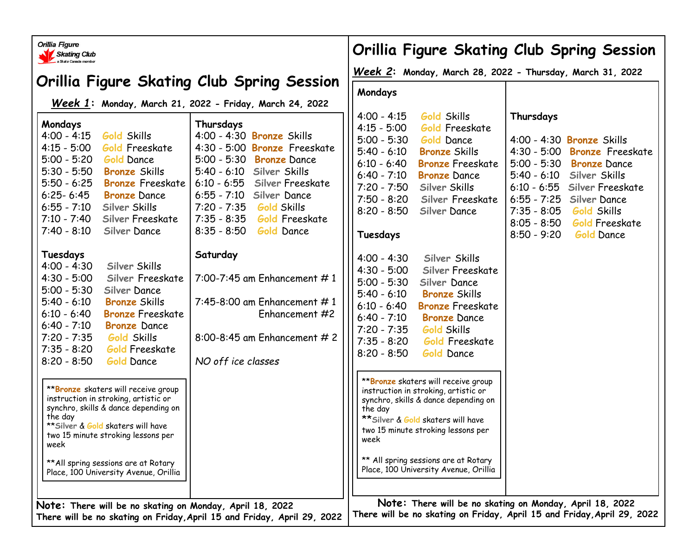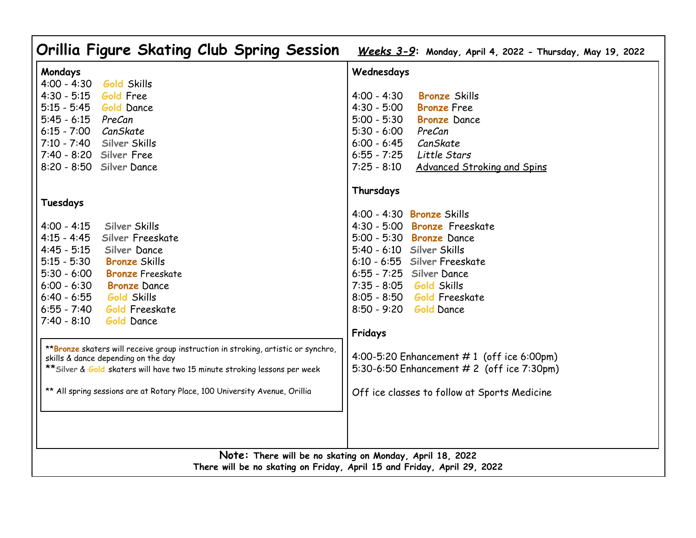| Orillia Figure Skating Club Spring Session                                                                                                                                                                                                                                                                                                                                                                                                                                                                                                                                                                                                                                                                                                                                                                                                                                                                                        | Weeks 3-9: Monday, April 4, 2022 - Thursday, May 19, 2022                                                                                                                                                                                                                                                                                                                                                                                                                                                                                                                                                                                                                                                                                       |
|-----------------------------------------------------------------------------------------------------------------------------------------------------------------------------------------------------------------------------------------------------------------------------------------------------------------------------------------------------------------------------------------------------------------------------------------------------------------------------------------------------------------------------------------------------------------------------------------------------------------------------------------------------------------------------------------------------------------------------------------------------------------------------------------------------------------------------------------------------------------------------------------------------------------------------------|-------------------------------------------------------------------------------------------------------------------------------------------------------------------------------------------------------------------------------------------------------------------------------------------------------------------------------------------------------------------------------------------------------------------------------------------------------------------------------------------------------------------------------------------------------------------------------------------------------------------------------------------------------------------------------------------------------------------------------------------------|
| Mondays<br>$4:00 - 4:30$<br><b>Gold Skills</b><br>$4:30 - 5:15$<br><b>Gold Free</b><br>$5:15 - 5:45$<br><b>Gold Dance</b><br>$5:45 - 6:15$<br>PreCan<br>6:15 - 7:00 CanSkate<br>7:10 - 7:40 Silver Skills<br>7:40 - 8:20 Silver Free<br>8:20 - 8:50 Silver Dance<br>Tuesdays<br>Silver Skills<br>$4:00 - 4:15$<br>$4:15 - 4:45$<br>Silver Freeskate<br>$4:45 - 5:15$<br>Silver Dance<br>$5:15 - 5:30$<br><b>Bronze Skills</b><br>$5:30 - 6:00$<br><b>Bronze</b> Freeskate<br>$6:00 - 6:30$<br><b>Bronze</b> Dance<br>$6:40 - 6:55$<br><b>Gold Skills</b><br>$6:55 - 7:40$<br><b>Gold Freeskate</b><br>$7:40 - 8:10$<br><b>Gold Dance</b><br>** Bronze skaters will receive group instruction in stroking, artistic or synchro,<br>skills & dance depending on the day<br>** Silver & Gold skaters will have two 15 minute stroking lessons per week<br>** All spring sessions are at Rotary Place, 100 University Avenue, Orillia | Wednesdays<br>$4:00 - 4:30$<br><b>Bronze Skills</b><br>$4:30 - 5:00$<br><b>Bronze</b> Free<br>$5:00 - 5:30$<br><b>Bronze</b> Dance<br>$5:30 - 6:00$<br>PreCan<br>$6:00 - 6:45$<br>CanSkate<br>$6:55 - 7:25$<br>Little Stars<br>$7:25 - 8:10$<br><b>Advanced Stroking and Spins</b><br>Thursdays<br>4:00 - 4:30 Bronze Skills<br>4:30 - 5:00 Bronze Freeskate<br>5:00 - 5:30 <b>Bronze</b> Dance<br>5:40 - 6:10 Silver Skills<br>6:10 - 6:55 Silver Freeskate<br>6:55 - 7:25 Silver Dance<br>7:35 - 8:05 Gold Skills<br>8:05 - 8:50 <b>Gold</b> Freeskate<br>8:50 - 9:20 <b>Gold</b> Dance<br>Fridays<br>4:00-5:20 Enhancement #1 (off ice 6:00pm)<br>5:30-6:50 Enhancement # 2 (off ice 7:30pm)<br>Off ice classes to follow at Sports Medicine |
| Note: There will be no skating on Monday, April 18, 2022<br>There will be no skating on Friday, April 15 and Friday, April 29, 2022                                                                                                                                                                                                                                                                                                                                                                                                                                                                                                                                                                                                                                                                                                                                                                                               |                                                                                                                                                                                                                                                                                                                                                                                                                                                                                                                                                                                                                                                                                                                                                 |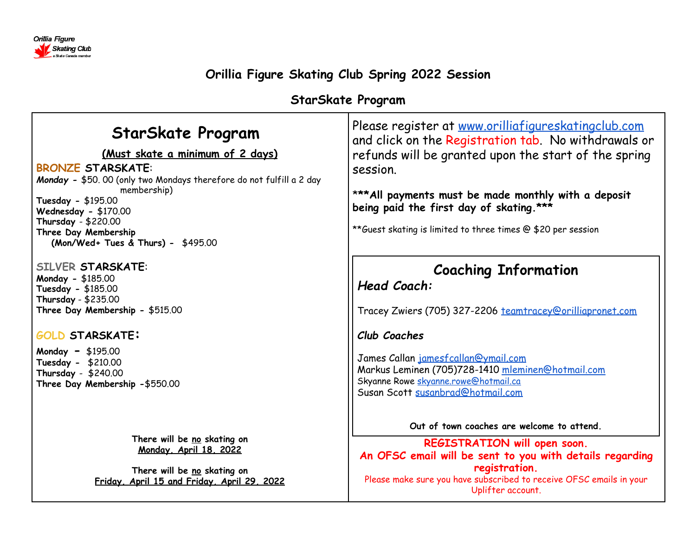

# **Orillia Figure Skating Club Spring 2022 Session**

# **StarSkate Program**

| <b>StarSkate Program</b><br>(Must skate a minimum of 2 days)<br><b>BRONZE STARSKATE:</b><br>Monday - \$50.00 (only two Mondays therefore do not fulfill a 2 day<br>membership)<br>Tuesday - \$195.00<br>Wednesday - \$170.00<br>Thursday - \$220.00<br>Three Day Membership<br>(Mon/Wed+ Tues & Thurs) - \$495.00 | Please register at www.orilliafigureskatingclub.com<br>and click on the Registration tab. No withdrawals or<br>refunds will be granted upon the start of the spring<br>session.<br>*** All payments must be made monthly with a deposit<br>being paid the first day of skating.***<br>**Guest skating is limited to three times @ \$20 per session |
|-------------------------------------------------------------------------------------------------------------------------------------------------------------------------------------------------------------------------------------------------------------------------------------------------------------------|----------------------------------------------------------------------------------------------------------------------------------------------------------------------------------------------------------------------------------------------------------------------------------------------------------------------------------------------------|
| <b>SILVER STARSKATE:</b><br>Monday - \$185.00<br>Tuesday - \$185.00<br>Thursday - \$235.00<br>Three Day Membership - \$515.00<br><b>GOLD STARSKATE:</b><br><b>Monday - <math>\$195.00</math></b><br>Tuesday - \$210.00<br>Thursday - $$240.00$<br>Three Day Membership -\$550.00                                  | <b>Coaching Information</b><br>Head Coach:<br>Tracey Zwiers (705) 327-2206 teamtracey@orilliapronet.com<br>Club Coaches<br>James Callan jamesfcallan@ymail.com<br>Markus Leminen (705)728-1410 mleminen@hotmail.com<br>Skyanne Rowe skyanne.rowe@hotmail.ca<br>Susan Scott susanbrad@hotmail.com                                                   |
| There will be no skating on<br>Monday, April 18, 2022<br>There will be no skating on<br>Friday, April 15 and Friday, April 29, 2022                                                                                                                                                                               | Out of town coaches are welcome to attend.<br>REGISTRATION will open soon.<br>An OFSC email will be sent to you with details regarding<br>registration.<br>Please make sure you have subscribed to receive OFSC emails in your<br>Uplifter account.                                                                                                |